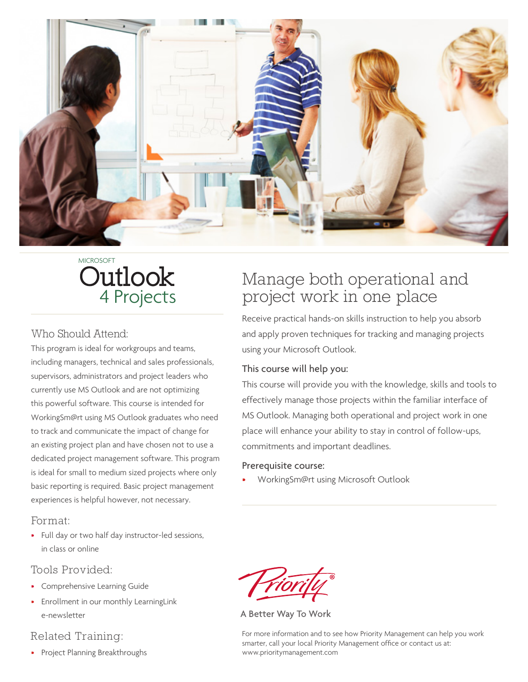

# 4 Projects Outlook MICROSOFT

#### Who Should Attend:

This program is ideal for workgroups and teams, including managers, technical and sales professionals, supervisors, administrators and project leaders who currently use MS Outlook and are not optimizing this powerful software. This course is intended for WorkingSm@rt using MS Outlook graduates who need to track and communicate the impact of change for an existing project plan and have chosen not to use a dedicated project management software. This program is ideal for small to medium sized projects where only basic reporting is required. Basic project management experiences is helpful however, not necessary.

#### Format:

• Full day or two half day instructor-led sessions, in class or online

#### Tools Provided:

- Comprehensive Learning Guide
- Enrollment in our monthly LearningLink e-newsletter

#### Related Training:

• Project Planning Breakthroughs

# Manage both operational and project work in one place

Receive practical hands-on skills instruction to help you absorb and apply proven techniques for tracking and managing projects using your Microsoft Outlook.

#### This course will help you:

This course will provide you with the knowledge, skills and tools to effectively manage those projects within the familiar interface of MS Outlook. Managing both operational and project work in one place will enhance your ability to stay in control of follow-ups, commitments and important deadlines.

#### Prerequisite course:

• WorkingSm@rt using Microsoft Outlook

A Better Way To Work

For more information and to see how Priority Management can help you work smarter, call your local Priority Management office or contact us at: www.prioritymanagement.com